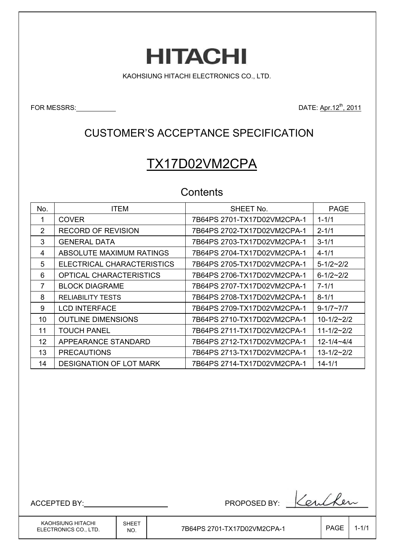# **HITACHI**

KAOHSIUNG HITACHI ELECTRONICS CO., LTD.

FOR MESSRS: DATE: Apr. 12<sup>th</sup>, 2011

## CUSTOMER'S ACCEPTANCE SPECIFICATION

# TX17D02VM2CPA

## **Contents**

| No. | <b>ITEM</b>                    | SHEET No.                   | <b>PAGE</b>        |
|-----|--------------------------------|-----------------------------|--------------------|
|     | <b>COVER</b>                   | 7B64PS 2701-TX17D02VM2CPA-1 | $1 - 1/1$          |
| 2   | <b>RECORD OF REVISION</b>      | 7B64PS 2702-TX17D02VM2CPA-1 | $2 - 1/1$          |
| 3   | <b>GENERAL DATA</b>            | 7B64PS 2703-TX17D02VM2CPA-1 | $3 - 1/1$          |
| 4   | ABSOLUTE MAXIMUM RATINGS       | 7B64PS 2704-TX17D02VM2CPA-1 | $4 - 1/1$          |
| 5   | ELECTRICAL CHARACTERISTICS     | 7B64PS 2705-TX17D02VM2CPA-1 | $5 - 1/2 \sim 2/2$ |
| 6   | OPTICAL CHARACTERISTICS        | 7B64PS 2706-TX17D02VM2CPA-1 | $6 - 1/2 - 2/2$    |
| 7   | <b>BLOCK DIAGRAME</b>          | 7B64PS 2707-TX17D02VM2CPA-1 | $7 - 1/1$          |
| 8   | <b>RELIABILITY TESTS</b>       |                             | $8 - 1/1$          |
| 9   | <b>LCD INTERFACE</b>           |                             | $9 - 1/7 \sim 7/7$ |
| 10  | <b>OUTLINE DIMENSIONS</b>      | 7B64PS 2710-TX17D02VM2CPA-1 | $10 - 1/2 - 2/2$   |
| 11  | <b>TOUCH PANEL</b>             | 7B64PS 2711-TX17D02VM2CPA-1 | $11 - 1/2 - 2/2$   |
| 12  | APPEARANCE STANDARD            | 7B64PS 2712-TX17D02VM2CPA-1 | $12 - 1/4 - 4/4$   |
| 13  | <b>PRECAUTIONS</b>             | 7B64PS 2713-TX17D02VM2CPA-1 | $13 - 1/2 - 2/2$   |
| 14  | <b>DESIGNATION OF LOT MARK</b> | 7B64PS 2714-TX17D02VM2CPA-1 | $14 - 1/1$         |

KAOHSIUNG HITACHI ELECTRONICS CO., LTD.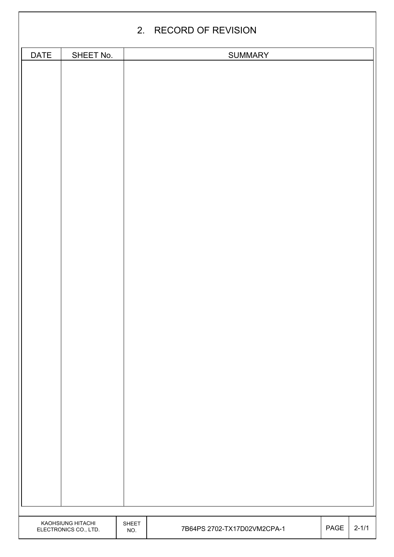|             |                                            |                     | 2. RECORD OF REVISION       |      |           |
|-------------|--------------------------------------------|---------------------|-----------------------------|------|-----------|
| <b>DATE</b> | SHEET No.                                  |                     | <b>SUMMARY</b>              |      |           |
|             |                                            |                     |                             |      |           |
|             |                                            |                     |                             |      |           |
|             |                                            |                     |                             |      |           |
|             |                                            |                     |                             |      |           |
|             |                                            |                     |                             |      |           |
|             |                                            |                     |                             |      |           |
|             |                                            |                     |                             |      |           |
|             |                                            |                     |                             |      |           |
|             |                                            |                     |                             |      |           |
|             |                                            |                     |                             |      |           |
|             |                                            |                     |                             |      |           |
|             |                                            |                     |                             |      |           |
|             |                                            |                     |                             |      |           |
|             |                                            |                     |                             |      |           |
|             |                                            |                     |                             |      |           |
|             |                                            |                     |                             |      |           |
|             |                                            |                     |                             |      |           |
|             |                                            |                     |                             |      |           |
|             |                                            |                     |                             |      |           |
|             |                                            |                     |                             |      |           |
|             |                                            |                     |                             |      |           |
|             |                                            |                     |                             |      |           |
|             |                                            |                     |                             |      |           |
|             |                                            |                     |                             |      |           |
|             |                                            |                     |                             |      |           |
|             |                                            |                     |                             |      |           |
|             |                                            |                     |                             |      |           |
|             |                                            |                     |                             |      |           |
|             |                                            |                     |                             |      |           |
|             |                                            |                     |                             |      |           |
|             |                                            |                     |                             |      |           |
|             |                                            |                     |                             |      |           |
|             |                                            |                     |                             |      |           |
|             |                                            |                     |                             |      |           |
|             |                                            |                     |                             |      |           |
|             |                                            |                     |                             |      |           |
|             |                                            |                     |                             |      |           |
|             |                                            |                     |                             |      |           |
|             |                                            |                     |                             |      |           |
|             |                                            |                     |                             |      |           |
|             |                                            |                     |                             |      |           |
|             | KAOHSIUNG HITACHI<br>ELECTRONICS CO., LTD. | <b>SHEET</b><br>NO. | 7B64PS 2702-TX17D02VM2CPA-1 | PAGE | $2 - 1/1$ |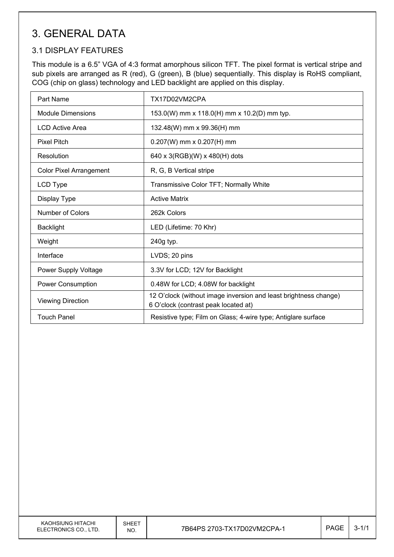# 3. GENERAL DATA

## 3.1 DISPLAY FEATURES

This module is a 6.5" VGA of 4:3 format amorphous silicon TFT. The pixel format is vertical stripe and sub pixels are arranged as R (red), G (green), B (blue) sequentially. This display is RoHS compliant, COG (chip on glass) technology and LED backlight are applied on this display.

| Part Name                      | TX17D02VM2CPA                                                                                            |
|--------------------------------|----------------------------------------------------------------------------------------------------------|
| <b>Module Dimensions</b>       | 153.0(W) mm x 118.0(H) mm x 10.2(D) mm typ.                                                              |
| <b>LCD Active Area</b>         | 132.48(W) mm x 99.36(H) mm                                                                               |
| <b>Pixel Pitch</b>             | $0.207(W)$ mm x $0.207(H)$ mm                                                                            |
| Resolution                     | 640 x 3(RGB)(W) x 480(H) dots                                                                            |
| <b>Color Pixel Arrangement</b> | R, G, B Vertical stripe                                                                                  |
| LCD Type                       | Transmissive Color TFT; Normally White                                                                   |
| Display Type                   | <b>Active Matrix</b>                                                                                     |
| Number of Colors               | 262k Colors                                                                                              |
| <b>Backlight</b>               | LED (Lifetime: 70 Khr)                                                                                   |
| Weight                         | 240g typ.                                                                                                |
| Interface                      | LVDS; 20 pins                                                                                            |
| Power Supply Voltage           | 3.3V for LCD; 12V for Backlight                                                                          |
| Power Consumption              | 0.48W for LCD; 4.08W for backlight                                                                       |
| <b>Viewing Direction</b>       | 12 O'clock (without image inversion and least brightness change)<br>6 O'clock (contrast peak located at) |
| Touch Panel                    | Resistive type; Film on Glass; 4-wire type; Antiglare surface                                            |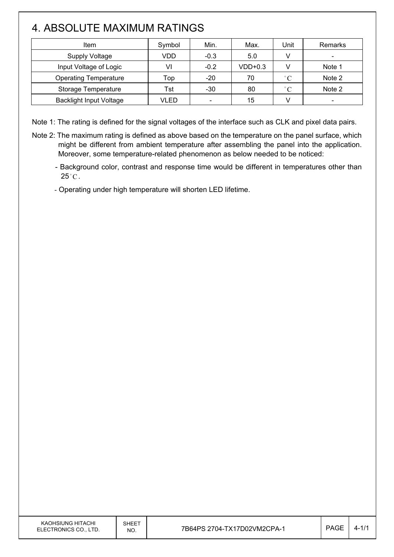# 4. ABSOLUTE MAXIMUM RATINGS

 $\overline{\phantom{a}}$ 

| Item                           | Symbol | Min.                     | Max.      | <b>Jnit</b>  | Remarks                  |
|--------------------------------|--------|--------------------------|-----------|--------------|--------------------------|
| <b>Supply Voltage</b>          | VDD    | $-0.3$                   | 5.0       |              | $\overline{\phantom{a}}$ |
| Input Voltage of Logic         | VI     | $-0.2$                   | $VDD+0.3$ |              | Note 1                   |
| <b>Operating Temperature</b>   | Top    | $-20$                    | 70        | $^{\circ}$ C | Note 2                   |
| Storage Temperature            | Tst    | -30                      | 80        | $^{\circ}C$  | Note 2                   |
| <b>Backlight Input Voltage</b> | VLED   | $\overline{\phantom{a}}$ | 15        |              |                          |

Note 1: The rating is defined for the signal voltages of the interface such as CLK and pixel data pairs.

- Note 2: The maximum rating is defined as above based on the temperature on the panel surface, which might be different from ambient temperature after assembling the panel into the application. Moreover, some temperature-related phenomenon as below needed to be noticed:
	- Background color, contrast and response time would be different in temperatures other than  $25^{\circ}$ C.

- Operating under high temperature will shorten LED lifetime.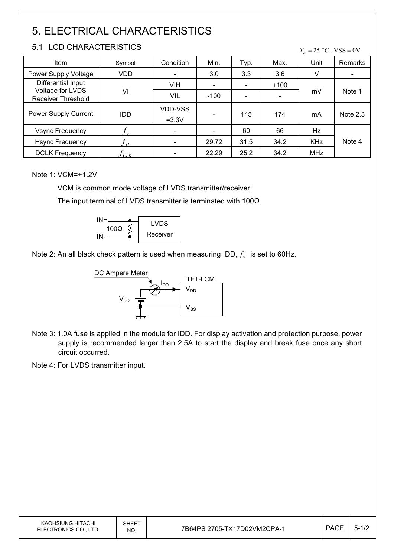# 5. ELECTRICAL CHARACTERISTICS

### 5.1 LCD CHARACTERISTICS

 $T_a = 25$  °C, VSS = 0V

| Item                                          | Symbol     | Condition                | Min.   | Typ. | Max.   | Unit       | Remarks    |
|-----------------------------------------------|------------|--------------------------|--------|------|--------|------------|------------|
| Power Supply Voltage                          | VDD        | $\overline{\phantom{a}}$ | 3.0    | 3.3  | 3.6    | V          |            |
| Differential Input                            |            | <b>VIH</b>               |        |      | $+100$ |            |            |
| Voltage for LVDS<br><b>Receiver Threshold</b> | VI         | VIL                      | $-100$ |      |        | mV         | Note 1     |
| Power Supply Current                          | <b>IDD</b> | VDD-VSS<br>$=3.3V$       |        | 145  | 174    | mA         | Note $2,3$ |
| <b>Vsync Frequency</b>                        | Jν         | $\overline{\phantom{a}}$ |        | 60   | 66     | Hz         |            |
| <b>Hsync Frequency</b>                        | H          | $\overline{\phantom{a}}$ | 29.72  | 31.5 | 34.2   | <b>KHz</b> | Note 4     |
| <b>DCLK Frequency</b>                         | CLK        |                          | 22.29  | 25.2 | 34.2   | MHz        |            |

Note 1: VCM=+1.2V

VCM is common mode voltage of LVDS transmitter/receiver.

The input terminal of LVDS transmitter is terminated with 100 $\Omega$ .



Note 2: An all black check pattern is used when measuring IDD,  $f_v$  is set to 60Hz.



Note 3: 1.0A fuse is applied in the module for IDD. For display activation and protection purpose, power supply is recommended larger than 2.5A to start the display and break fuse once any short circuit occurred.

Note 4: For LVDS transmitter input.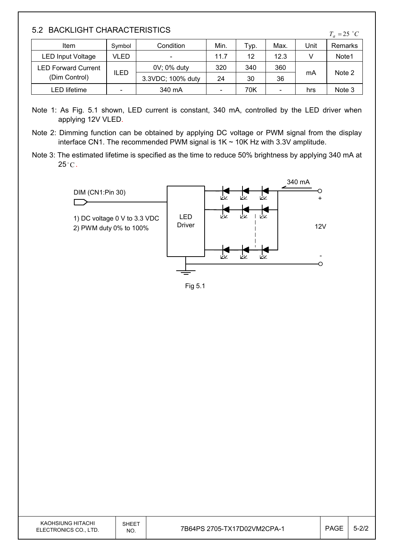### 5.2 BACKLIGHT CHARACTERISTICS

| Item                                        | Symbol                   | Condition                | Min.                     | Typ. | Max. | Unit | Remarks |
|---------------------------------------------|--------------------------|--------------------------|--------------------------|------|------|------|---------|
| LED Input Voltage                           | VLED                     | $\overline{\phantom{a}}$ | 11.7                     | 12   | 12.3 |      | Note1   |
| <b>LED Forward Current</b><br>(Dim Control) | ILED                     | 0V; 0% duty              | 320                      | 340  | 360  | mA   | Note 2  |
|                                             |                          | 3.3VDC; 100% duty        | 24                       | 30   | 36   |      |         |
| LED lifetime                                | $\overline{\phantom{0}}$ | 340 mA                   | $\overline{\phantom{a}}$ | 70K  |      | hrs  | Note 3  |

- Note 1: As Fig. 5.1 shown, LED current is constant, 340 mA, controlled by the LED driver when applying 12V VLED.
- Note 2: Dimming function can be obtained by applying DC voltage or PWM signal from the display interface CN1. The recommended PWM signal is  $1K \sim 10K$  Hz with 3.3V amplitude.
- Note 3: The estimated lifetime is specified as the time to reduce 50% brightness by applying 340 mA at  $25^{\circ}$ C.



Fig 5.1

| KAOHSIUNG HITACHI<br>ELECTRONICS CO.<br>LTD. | SHEET<br>NO. | 7B64PS 2705-TX17D02VM2CPA-1 | PAGE | $\sim$<br>$7 - 2/2$ |
|----------------------------------------------|--------------|-----------------------------|------|---------------------|
|----------------------------------------------|--------------|-----------------------------|------|---------------------|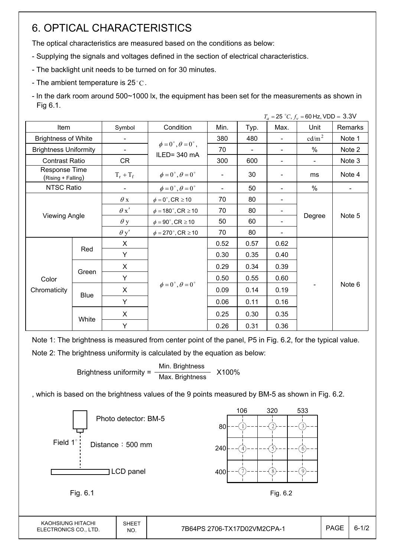# 6. OPTICAL CHARACTERISTICS

The optical characteristics are measured based on the conditions as below:

- Supplying the signals and voltages defined in the section of electrical characteristics.
- The backlight unit needs to be turned on for 30 minutes.
- The ambient temperature is 25 °C.
- In the dark room around 500~1000 lx, the equipment has been set for the measurements as shown in Fig 6.1.

|                                     |                      |             |                                          |      |                |                | $T_a = 25 °C, f_v = 60 Hz, VDD = 3.3 V$ |         |
|-------------------------------------|----------------------|-------------|------------------------------------------|------|----------------|----------------|-----------------------------------------|---------|
| Item                                |                      | Symbol      | Condition                                | Min. | Typ.           | Max.           | Unit                                    | Remarks |
| <b>Brightness of White</b>          |                      |             |                                          | 380  | 480            |                | $\text{cd/m}^2$                         | Note 1  |
| <b>Brightness Uniformity</b>        |                      | -           | $\phi = 0^{\circ}, \theta = 0^{\circ}$ , | 70   | $\blacksquare$ |                | $\%$                                    | Note 2  |
| <b>Contrast Ratio</b>               |                      | CR          | ILED=340 mA                              | 300  | 600            | $\blacksquare$ | $\overline{\phantom{a}}$                | Note 3  |
| Response Time<br>(Rising + Falling) |                      | $T_r + T_f$ | $\phi = 0^{\circ}, \theta = 0^{\circ}$   |      | 30             |                | ms                                      | Note 4  |
| NTSC Ratio                          |                      |             | $\phi = 0^{\circ}, \theta = 0^{\circ}$   |      | 50             |                | $\%$                                    |         |
|                                     |                      | $\theta$ x  | $\phi = 0^\circ$ , CR $\geq 10$          | 70   | 80             |                |                                         |         |
|                                     |                      | $\theta x'$ | $\phi = 180^{\circ}$ , CR $\geq 10$      | 70   | 80             |                |                                         |         |
|                                     | <b>Viewing Angle</b> |             | $\phi = 90^{\circ}$ , CR $\geq 10$       | 50   | 60             |                | Degree                                  | Note 5  |
|                                     |                      |             | $\phi = 270^\circ$ , CR $\geq 10$        | 70   | 80             |                |                                         |         |
|                                     |                      | X           |                                          | 0.52 | 0.57           | 0.62           |                                         |         |
|                                     | Red                  | Y           |                                          | 0.30 | 0.35           | 0.40           |                                         |         |
|                                     |                      | X           |                                          | 0.29 | 0.34           | 0.39           |                                         |         |
| Color                               | Green                | Y           |                                          | 0.50 | 0.55           | 0.60           |                                         | Note 6  |
| Chromaticity                        |                      | X           | $\phi = 0^{\circ}, \theta = 0^{\circ}$   | 0.09 | 0.14           | 0.19           |                                         |         |
|                                     | <b>Blue</b>          | Y           |                                          | 0.06 | 0.11           | 0.16           |                                         |         |
|                                     | White                | X           |                                          | 0.25 | 0.30           | 0.35           |                                         |         |
|                                     |                      | Y           |                                          | 0.26 | 0.31           | 0.36           |                                         |         |

Note 1: The brightness is measured from center point of the panel, P5 in Fig. 6.2, for the typical value. Note 2: The brightness uniformity is calculated by the equation as below:

> Brightness uniformity =  $\frac{\text{Min.}_{\text{Br}}}{\text{Min.}_{\text{B}}}\times 100\%$ Max. Brightness

, which is based on the brightness values of the 9 points measured by BM-5 as shown in Fig. 6.2.

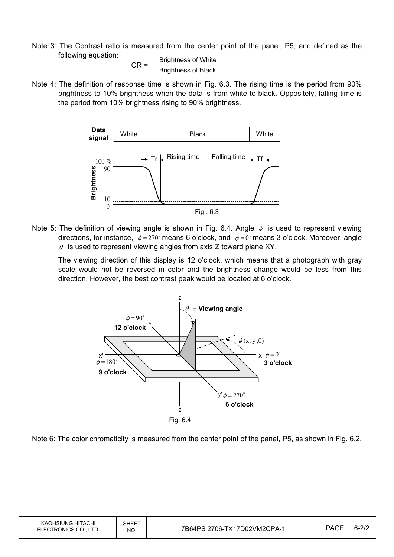Note 3: The Contrast ratio is measured from the center point of the panel, P5, and defined as the following equation:

 $CR =$  Brightness of White Brightness of Black

Note 4: The definition of response time is shown in Fig. 6.3. The rising time is the period from 90% brightness to 10% brightness when the data is from white to black. Oppositely, falling time is the period from 10% brightness rising to 90% brightness.



Note 5: The definition of viewing angle is shown in Fig. 6.4. Angle  $\phi$  is used to represent viewing directions, for instance,  $\phi = 270^\circ$  means 6 o'clock, and  $\phi = 0^\circ$  means 3 o'clock. Moreover, angle  $\theta$  is used to represent viewing angles from axis Z toward plane XY.

 The viewing direction of this display is 12 o'clock, which means that a photograph with gray scale would not be reversed in color and the brightness change would be less from this direction. However, the best contrast peak would be located at 6 o'clock.



Note 6: The color chromaticity is measured from the center point of the panel, P5, as shown in Fig. 6.2.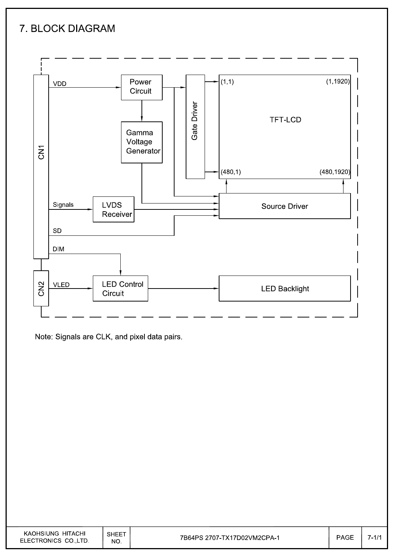# 7. BLOCK DIAGRAM



Note: Signals are CLK, and pixel data pairs.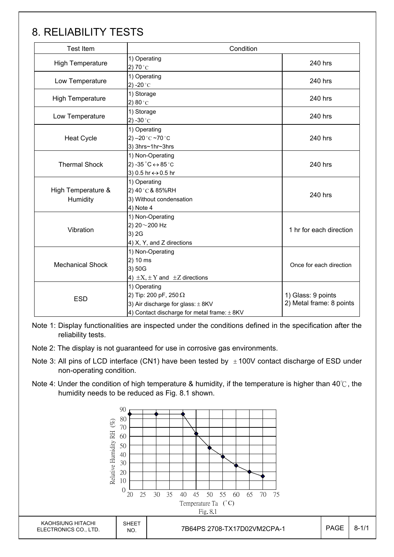# 8. RELIABILITY TESTS

| <b>Test Item</b>               | Condition                                                                                                                            |                                                |  |  |
|--------------------------------|--------------------------------------------------------------------------------------------------------------------------------------|------------------------------------------------|--|--|
| <b>High Temperature</b>        | 1) Operating<br>2) 70 $^{\circ}$ C                                                                                                   | 240 hrs                                        |  |  |
| Low Temperature                | 1) Operating<br>2) -20 $^{\circ}$ C                                                                                                  |                                                |  |  |
| <b>High Temperature</b>        | 1) Storage<br>2) $80^{\circ}$ C                                                                                                      |                                                |  |  |
| Low Temperature                | 1) Storage<br>2) -30 $^{\circ}$ C                                                                                                    | 240 hrs                                        |  |  |
| <b>Heat Cycle</b>              | 1) Operating<br>2) $-20$ °C $-70$ °C<br>3) 3hrs~1hr~3hrs                                                                             | 240 hrs                                        |  |  |
| <b>Thermal Shock</b>           | 1) Non-Operating<br>2) -35 $^{\circ}$ C $\leftrightarrow$ 85 $^{\circ}$ C<br>3) 0.5 hr ↔ 0.5 hr                                      | 240 hrs                                        |  |  |
| High Temperature &<br>Humidity | 1) Operating<br>2) 40°C & 85%RH<br>3) Without condensation<br>4) Note 4                                                              | 240 hrs                                        |  |  |
| Vibration                      | 1) Non-Operating<br>2) 20~200 Hz<br>3) 2G<br>4) X, Y, and Z directions                                                               | 1 hr for each direction                        |  |  |
| <b>Mechanical Shock</b>        | 1) Non-Operating<br>2) 10 ms<br>3) 50G<br>4) $\pm X$ , $\pm Y$ and $\pm Z$ directions                                                | Once for each direction                        |  |  |
| <b>ESD</b>                     | 1) Operating<br>2) Tip: 200 pF, 250 $\Omega$<br>3) Air discharge for glass: $\pm$ 8KV<br>4) Contact discharge for metal frame: ± 8KV | 1) Glass: 9 points<br>2) Metal frame: 8 points |  |  |

Note 1: Display functionalities are inspected under the conditions defined in the specification after the reliability tests.

Note 2: The display is not guaranteed for use in corrosive gas environments.

- Note 3: All pins of LCD interface (CN1) have been tested by  $\pm 100V$  contact discharge of ESD under non-operating condition.
- Note 4: Under the condition of high temperature & humidity, if the temperature is higher than 40°C, the humidity needs to be reduced as Fig. 8.1 shown.

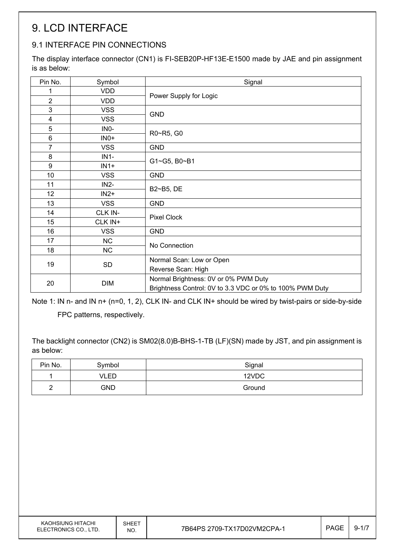# 9. LCD INTERFACE

## 9.1 INTERFACE PIN CONNECTIONS

The display interface connector (CN1) is FI-SEB20P-HF13E-E1500 made by JAE and pin assignment is as below:

| <b>VDD</b><br>1<br>Power Supply for Logic<br>$\overline{2}$<br><b>VDD</b><br>3<br><b>VSS</b><br><b>GND</b><br>$\overline{\mathbf{4}}$<br><b>VSS</b><br>5<br>INO-<br>R0~R5, G0<br>6<br>$INO+$<br>$\overline{7}$<br><b>VSS</b><br><b>GND</b><br>8<br>$IN1-$<br>G1~G5, B0~B1<br>9<br>$IN1+$<br>10 <sup>1</sup><br><b>VSS</b><br><b>GND</b> |  |  |  |
|-----------------------------------------------------------------------------------------------------------------------------------------------------------------------------------------------------------------------------------------------------------------------------------------------------------------------------------------|--|--|--|
|                                                                                                                                                                                                                                                                                                                                         |  |  |  |
|                                                                                                                                                                                                                                                                                                                                         |  |  |  |
|                                                                                                                                                                                                                                                                                                                                         |  |  |  |
|                                                                                                                                                                                                                                                                                                                                         |  |  |  |
|                                                                                                                                                                                                                                                                                                                                         |  |  |  |
|                                                                                                                                                                                                                                                                                                                                         |  |  |  |
|                                                                                                                                                                                                                                                                                                                                         |  |  |  |
|                                                                                                                                                                                                                                                                                                                                         |  |  |  |
|                                                                                                                                                                                                                                                                                                                                         |  |  |  |
|                                                                                                                                                                                                                                                                                                                                         |  |  |  |
| 11<br>$IN2-$<br>B2~B5, DE                                                                                                                                                                                                                                                                                                               |  |  |  |
| 12 <sub>2</sub><br>$IN2+$                                                                                                                                                                                                                                                                                                               |  |  |  |
| 13<br><b>VSS</b><br><b>GND</b>                                                                                                                                                                                                                                                                                                          |  |  |  |
| CLK IN-<br>14<br><b>Pixel Clock</b>                                                                                                                                                                                                                                                                                                     |  |  |  |
| 15<br>CLK IN+                                                                                                                                                                                                                                                                                                                           |  |  |  |
| 16<br><b>VSS</b><br><b>GND</b>                                                                                                                                                                                                                                                                                                          |  |  |  |
| 17<br><b>NC</b><br>No Connection                                                                                                                                                                                                                                                                                                        |  |  |  |
| <b>NC</b><br>18                                                                                                                                                                                                                                                                                                                         |  |  |  |
| Normal Scan: Low or Open<br>19<br>SD                                                                                                                                                                                                                                                                                                    |  |  |  |
| Reverse Scan: High                                                                                                                                                                                                                                                                                                                      |  |  |  |
| Normal Brightness: 0V or 0% PWM Duty<br>20<br><b>DIM</b><br>Brightness Control: 0V to 3.3 VDC or 0% to 100% PWM Duty                                                                                                                                                                                                                    |  |  |  |

Note 1: IN n- and IN n+ (n=0, 1, 2), CLK IN- and CLK IN+ should be wired by twist-pairs or side-by-side

FPC patterns, respectively.

The backlight connector (CN2) is SM02(8.0)B-BHS-1-TB (LF)(SN) made by JST, and pin assignment is as below:

| Pin No. | Symbol     | Signal |
|---------|------------|--------|
|         | VLED       | 12VDC  |
| ∽<br>-  | <b>GND</b> | Ground |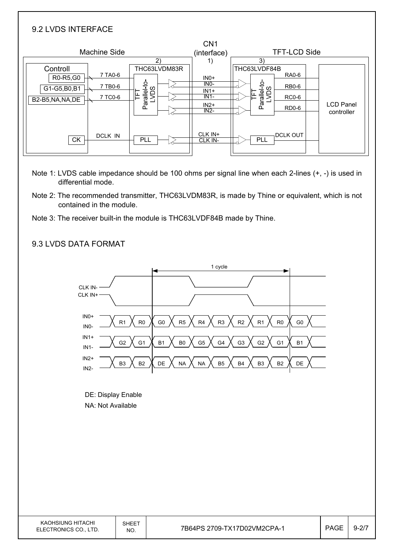| 9.2 LVDS INTERFACE                                       |                                                                            |                                                          |                                                                                                                 |                                |
|----------------------------------------------------------|----------------------------------------------------------------------------|----------------------------------------------------------|-----------------------------------------------------------------------------------------------------------------|--------------------------------|
| <b>Machine Side</b>                                      | 2)                                                                         | CN <sub>1</sub><br>(interface)<br>1)                     | <b>TFT-LCD Side</b><br>3)                                                                                       |                                |
| Controll<br>R0-R5,G0<br>G1-G5,B0,B1<br>B2-B5, NA, NA, DE | THC63LVDM83R<br>7 TA0-6<br>Parallel-to-<br>LVDS<br>7 TB0-6<br>띹<br>7 TC0-6 | $INO+$<br>$INO-$<br>$IN1+$<br>$IN1-$<br>$IN2+$<br>$IN2-$ | THC63LVDF84B<br><b>RA0-6</b><br>Parallel-to-<br>LVDS<br><b>RB0-6</b><br>뇬<br><b>RC0-6</b><br>RD <sub>0</sub> -6 | <b>LCD Panel</b><br>controller |
| <b>CK</b>                                                | <b>DCLK IN</b><br>PLL                                                      | CLK IN+<br>CLK IN-                                       | <b>DCLK OUT</b><br>PLL                                                                                          |                                |

- Note 1: LVDS cable impedance should be 100 ohms per signal line when each 2-lines (+, -) is used in differential mode.
- Note 2: The recommended transmitter, THC63LVDM83R, is made by Thine or equivalent, which is not contained in the module.
- Note 3: The receiver built-in the module is THC63LVDF84B made by Thine.

## 9.3 LVDS DATA FORMAT

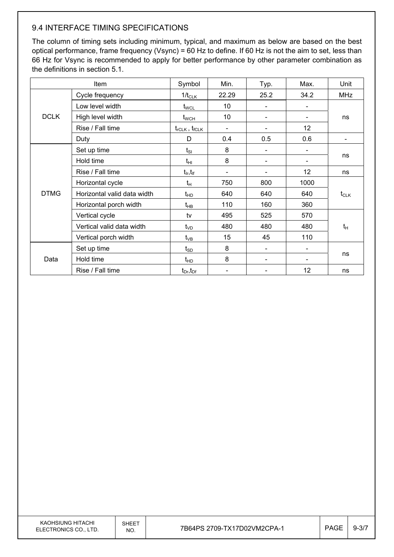## 9.4 INTERFACE TIMING SPECIFICATIONS

The column of timing sets including minimum, typical, and maximum as below are based on the best optical performance, frame frequency (Vsync) = 60 Hz to define. If 60 Hz is not the aim to set, less than 66 Hz for Vsync is recommended to apply for better performance by other parameter combination as the definitions in section 5.1.

|                      | Item                        | Symbol                          | Min.                     | Typ. | Max.              | Unit       |  |
|----------------------|-----------------------------|---------------------------------|--------------------------|------|-------------------|------------|--|
|                      | Cycle frequency             | $1/t_{CLK}$                     | 22.29                    | 25.2 | 34.2              | <b>MHz</b> |  |
|                      | Low level width             | $t_{\text{WCL}}$                | 10                       |      |                   |            |  |
| <b>DCLK</b>          | High level width            | $t_{\scriptscriptstyle\rm WCH}$ | 10                       |      |                   | ns         |  |
|                      | Rise / Fall time            | $t_{rCLK}$ , $t_{fCLK}$         | $\overline{\phantom{a}}$ |      | $12 \overline{ }$ |            |  |
|                      | Duty                        | D                               | 0.4                      | 0.5  | 0.6               |            |  |
|                      | Set up time                 | $t_{SI}$                        | 8                        |      |                   |            |  |
|                      | Hold time                   | $t_{\rm HI}$                    | 8                        |      |                   | ns         |  |
|                      | Rise / Fall time            | $t_{ir}$ , $t_{if}$             |                          |      | 12                | ns         |  |
|                      | Horizontal cycle            | $t_H$                           | 750                      | 800  | 1000              |            |  |
| <b>DTMG</b>          | Horizontal valid data width | $t_{HD}$                        | 640                      | 640  | 640               | $t_{CLK}$  |  |
|                      | Horizontal porch width      | $t_{HB}$                        | 110                      | 160  | 360               |            |  |
|                      | Vertical cycle              | tv                              | 495                      | 525  | 570               |            |  |
|                      | Vertical valid data width   | $t_{VD}$                        | 480                      | 480  | 480               | $t_H$      |  |
| Vertical porch width |                             | $t_{VB}$                        | 15                       | 45   | 110               |            |  |
|                      | Set up time                 | $t_{SD}$                        | 8                        |      |                   |            |  |
| Data                 | Hold time                   | $t_{HD}$                        | 8                        |      |                   | ns         |  |
|                      | Rise / Fall time            | $t_{Dr}$ , $t_{Dr}$             |                          |      | 12                | ns         |  |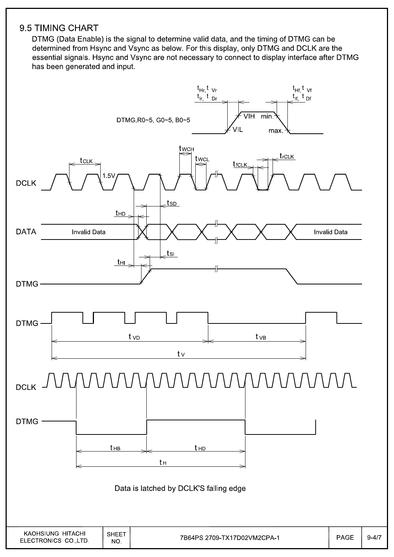## 9.5 TIMING CHART

DTMG (Data Enable) is the signal to determine valid data, and the timing of DTMG can be determined from Hsync and Vsync as below. For this display, only DTMG and DCLK are the essential signals. Hsync and Vsync are not necessary to connect to display interface after DTMG has been generated and input.

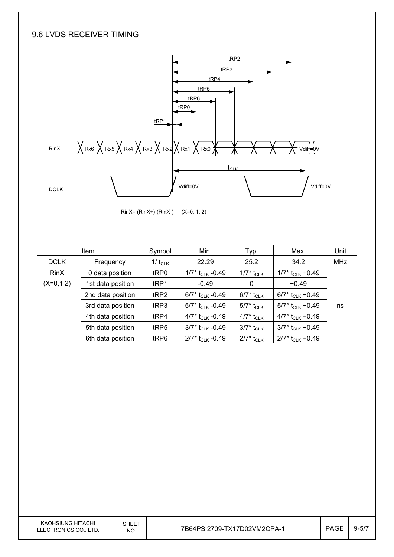### 9.6 LVDS RECEIVER TIMING



RinX= (RinX+)-(RinX-) (X=0, 1, 2)

|             | <b>Item</b>       | Symbol       | Min.                           | Typ.                     | Max.                           | Unit       |
|-------------|-------------------|--------------|--------------------------------|--------------------------|--------------------------------|------------|
| <b>DCLK</b> | Frequency         | 1/ $t_{CLK}$ | 22.29                          | 25.2                     | 34.2                           | <b>MHz</b> |
| <b>RinX</b> | 0 data position   | tRP0         | 1/7* $t_{CLK}$ -0.49           | 1/7* t <sub>CLK</sub>    | 1/7* t <sub>CLK</sub> +0.49    |            |
| $(X=0,1,2)$ | 1st data position | tRP1         | $-0.49$                        | 0                        | $+0.49$                        |            |
|             | 2nd data position | tRP2         | 6/7* $t_{CLK}$ -0.49           | 6/7* t <sub>CLK</sub>    | 6/7* $t_{CLK}$ +0.49           |            |
|             | 3rd data position | tRP3         | 5/7* t <sub>CLK</sub> -0.49    | 5/7* t <sub>CLK</sub>    | $5/7$ * t <sub>CLK</sub> +0.49 | ns         |
|             | 4th data position | tRP4         | 4/7* $t_{CLK}$ -0.49           | 4/7* t <sub>CLK</sub>    | 4/7* $t_{CLK}$ +0.49           |            |
|             | 5th data position | tRP5         | $3/7$ * t <sub>CLK</sub> -0.49 | 3/7* t <sub>CLK</sub>    | $3/7$ * t <sub>CLK</sub> +0.49 |            |
|             | 6th data position | tRP6         | $2/7$ * t <sub>CLK</sub> -0.49 | $2/7$ * t <sub>CLK</sub> | $2/7$ * t <sub>CLK</sub> +0.49 |            |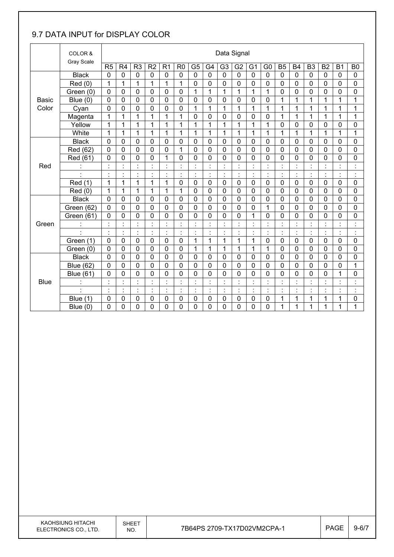## 9.7 DATA INPUT for DISPLAY COLOR

|              | COLOR &              |                |                |                                  |                      |                           |                |                |                           | Data Signal    |                |                            |                                  |                      |                |                      |                |                      |                                  |
|--------------|----------------------|----------------|----------------|----------------------------------|----------------------|---------------------------|----------------|----------------|---------------------------|----------------|----------------|----------------------------|----------------------------------|----------------------|----------------|----------------------|----------------|----------------------|----------------------------------|
|              | <b>Gray Scale</b>    | R <sub>5</sub> | R <sub>4</sub> | R <sub>3</sub>                   | R <sub>2</sub>       | R <sub>1</sub>            | R <sub>0</sub> | G <sub>5</sub> | G4                        | G <sub>3</sub> | G <sub>2</sub> | G <sub>1</sub>             | G <sub>0</sub>                   | B <sub>5</sub>       | <b>B4</b>      | B <sub>3</sub>       | B <sub>2</sub> | <b>B1</b>            | B <sub>0</sub>                   |
|              | <b>Black</b>         | $\mathbf 0$    | $\mathbf 0$    | $\mathbf 0$                      | $\mathbf 0$          | $\mathbf 0$               | 0              | $\mathbf 0$    | $\mathbf 0$               | $\mathbf 0$    | $\mathbf 0$    | $\mathbf 0$                | $\mathbf 0$                      | $\mathbf 0$          | $\mathbf 0$    | $\mathbf 0$          | $\mathbf 0$    | $\mathbf 0$          | $\mathbf 0$                      |
|              | Red (0)              | 1              | 1              | 1                                | $\overline{1}$       | $\overline{1}$            | 1              | $\mathbf 0$    | 0                         | 0              | $\mathbf 0$    | 0                          | $\mathbf 0$                      | $\mathbf 0$          | 0              | $\mathbf 0$          | $\mathbf 0$    | $\mathbf 0$          | 0                                |
|              | Green (0)            | $\mathbf 0$    | 0              | $\mathbf 0$                      | $\mathbf 0$          | 0                         | $\mathbf 0$    | 1              | 1                         | 1              | 1              | 1                          | 1                                | $\mathbf 0$          | 0              | $\mathbf 0$          | $\mathbf 0$    | 0                    | 0                                |
| <b>Basic</b> | Blue $(0)$           | $\mathbf 0$    | 0              | $\mathbf 0$                      | $\mathbf 0$          | $\mathbf 0$               | $\mathbf 0$    | $\mathbf 0$    | 0                         | 0              | $\mathbf 0$    | 0                          | $\mathbf 0$                      | 1                    | 1              | 1                    | $\mathbf{1}$   | 1                    | $\mathbf{1}$                     |
| Color        | Cyan                 | $\mathbf 0$    | 0              | 0                                | $\mathbf 0$          | $\mathbf 0$               | $\mathbf 0$    | 1              | $\mathbf 1$               | 1              | 1              | 1                          | 1                                | 1                    | 1              | 1                    | $\mathbf 1$    | 1                    | 1                                |
|              | Magenta              | 1              | 1              | 1                                | 1                    | 1                         | 1              | 0              | 0                         | 0              | 0              | 0                          | 0                                | 1                    | 1              | 1                    | 1              | 1                    | 1                                |
|              | Yellow               | 1              | 1              | 1                                | 1                    | 1                         | 1              | 1              | 1                         | 1              | 1              | 1                          | 1                                | $\mathbf 0$          | 0              | $\mathbf 0$          | $\mathbf 0$    | 0                    | $\mathbf 0$                      |
|              | White                | $\mathbf{1}$   | 1              | 1                                | 1                    | $\mathbf 1$               | 1              | 1              | 1                         | 1              | $\mathbf{1}$   | 1                          | 1                                | 1                    | 1              | 1                    | 1              | 1                    | 1                                |
|              | <b>Black</b>         | 0              | 0              | $\mathbf 0$                      | $\mathbf 0$          | 0                         | $\mathbf 0$    | 0              | 0                         | 0              | 0              | 0                          | 0                                | $\mathbf 0$          | 0              | $\mathbf 0$          | $\mathbf 0$    | $\mathbf 0$          | 0                                |
|              | Red (62)             | $\mathbf 0$    | $\mathbf 0$    | $\mathbf 0$                      | $\mathbf 0$          | 0                         | 1              | $\mathbf 0$    | $\overline{0}$            | $\mathbf{0}$   | $\mathbf 0$    | 0                          | $\mathbf 0$                      | $\mathbf 0$          | 0              | $\mathbf 0$          | $\mathbf 0$    | $\mathbf 0$          | 0                                |
|              | Red (61)             | 0              | $\mathbf 0$    | 0                                | $\mathbf 0$          | 1                         | $\mathbf 0$    | $\mathbf 0$    | 0                         | 0              | 0              | 0                          | 0                                | $\mathbf 0$          | 0              | $\mathbf 0$          | $\overline{0}$ | 0                    | 0                                |
| Red          |                      |                |                | $\blacksquare$                   |                      | $\cdot$                   |                | $\cdot$        | $\cdot$                   |                |                |                            | $\blacksquare$<br>$\blacksquare$ | $\cdot$              |                |                      |                | $\blacksquare$       | $\blacksquare$                   |
|              | $\cdot$              | $\blacksquare$ | $\blacksquare$ | $\blacksquare$                   | $\cdot$              | $\blacksquare$            | $\blacksquare$ | $\ddot{\cdot}$ | $\overline{\phantom{a}}$  | $\blacksquare$ | $\ddot{\cdot}$ | $\blacksquare$             | ÷,                               | $\ddot{\phantom{a}}$ | $\blacksquare$ | $\blacksquare$       | $\ddot{\cdot}$ | $\ddot{\phantom{a}}$ | $\ddot{\cdot}$                   |
|              | Red (1)              | $\mathbf{1}$   | 1              | 1                                | 1                    | $\mathbf{1}$              | $\mathbf 0$    | $\mathbf 0$    | 0                         | $\mathbf 0$    | $\mathbf 0$    | $\mathbf 0$                | $\mathbf 0$                      | $\mathbf 0$          | $\mathbf 0$    | $\mathbf 0$          | $\mathbf 0$    | $\mathbf 0$          | 0                                |
|              | Red(0)               | 1              | 1              | 1                                | 1                    | 1                         | 1              | $\mathbf 0$    | $\mathbf 0$               | 0              | 0              | 0                          | 0                                | 0                    | 0              | 0                    | 0              | $\mathbf 0$          | 0                                |
|              | <b>Black</b>         | $\mathbf 0$    | 0              | 0                                | $\mathbf 0$          | 0                         | $\mathbf 0$    | $\mathbf 0$    | 0                         | 0              | 0              | 0                          | $\mathbf 0$                      | $\mathbf 0$          | 0              | $\mathbf 0$          | $\mathbf 0$    | $\mathbf 0$          | 0                                |
|              | Green (62)           | $\mathbf 0$    | 0              | $\mathbf 0$                      | $\mathbf 0$          | $\mathbf 0$               | $\mathbf 0$    | 0              | 0                         | 0              | $\mathbf 0$    | 0                          | $\mathbf{1}$                     | $\mathbf 0$          | 0              | $\mathbf 0$          | $\mathbf 0$    | 0                    | 0                                |
|              | Green (61)           | 0              | 0              | 0                                | $\mathbf 0$          | 0                         | $\mathbf 0$    | 0              | 0                         | 0              | 0              | 1                          | 0                                | $\mathbf 0$          | 0              | 0                    | $\mathbf 0$    | $\mathbf 0$          | 0                                |
| Green        |                      | $\cdot$        | $\ddot{\cdot}$ | $\ddot{\cdot}$                   | $\ddot{\cdot}$       | $\ddot{\cdot}$            |                | $\ddot{\cdot}$ | $\ddot{\cdot}$            | Ì              | $\ddot{\cdot}$ | $\ddot{\cdot}$             | ł,                               | $\ddot{\cdot}$       | $\ddot{\cdot}$ | $\ddot{\phantom{a}}$ | ł,             | $\ddot{\cdot}$       | $\overline{\phantom{a}}$         |
|              | $\cdot$              | $\blacksquare$ | $\blacksquare$ | $\blacksquare$                   | $\blacksquare$       | $\blacksquare$<br>$\cdot$ | $\blacksquare$ | Ì.             | $\blacksquare$            | $\cdot$        | $\blacksquare$ | $\blacksquare$             | $\blacksquare$<br>$\blacksquare$ | $\blacksquare$       | $\cdot$        | $\blacksquare$       | $\blacksquare$ | $\blacksquare$       | $\blacksquare$<br>$\cdot$        |
|              | Green (1)            | $\mathbf 0$    | 0              | $\mathbf 0$                      | $\mathbf 0$          | $\mathbf 0$               | $\mathbf 0$    | 1              | 1                         | 1              | 1              | 1                          | 0                                | $\mathbf 0$          | $\mathbf 0$    | $\mathbf 0$          | $\mathbf 0$    | $\mathbf 0$          | 0                                |
|              | Green (0)            | 0              | 0              | 0                                | 0                    | 0                         | $\mathbf 0$    | 1              | 1                         | 1              | 1              | 1                          | 1                                | $\mathbf 0$          | 0              | 0                    | $\mathbf 0$    | 0                    | 0                                |
|              | <b>Black</b>         | $\mathbf 0$    | 0              | $\mathbf 0$                      | $\mathbf 0$          | $\mathbf 0$               | $\mathbf 0$    | $\mathbf 0$    | 0                         | 0              | 0              | 0                          | 0                                | $\mathbf 0$          | 0              | $\mathbf 0$          | $\mathbf 0$    | 0                    | 0                                |
|              | <b>Blue (62)</b>     | $\mathbf 0$    | 0              | $\mathbf 0$                      | $\mathbf 0$          | 0                         | $\mathbf 0$    | $\mathbf 0$    | 0                         | 0              | $\mathbf 0$    | 0                          | $\mathbf 0$                      | $\mathbf 0$          | 0              | $\mathbf 0$          | 0              | 0                    | 1                                |
|              | <b>Blue (61)</b>     | 0              | 0              | 0                                | 0                    | 0                         | 0              | 0              | 0                         | 0              | 0              | 0                          | 0                                | 0                    | 0              | $\mathbf 0$          | 0              | 1                    | 0                                |
| <b>Blue</b>  | İ.                   |                | t              | $\ddot{\cdot}$                   | $\cdot$<br>$\lambda$ | $\ddot{\phantom{a}}$      |                | $\ddot{\cdot}$ | $\ddot{\phantom{a}}$      |                |                | t                          | ÷,                               | $\ddot{\cdot}$       |                |                      | ł,             | $\ddot{\cdot}$       | $\ddot{\cdot}$                   |
|              | $\ddot{\phantom{0}}$ | $\blacksquare$ | ł,             | $\blacksquare$<br>$\blacksquare$ | $\blacksquare$       | $\ddot{\cdot}$            | $\bullet$      | $\ddot{\cdot}$ | $\blacksquare$<br>$\cdot$ | $\blacksquare$ | $\cdot$<br>ä,  | $\ddot{\phantom{0}}$<br>ä, | $\blacksquare$<br>$\blacksquare$ | $\cdot$              | $\blacksquare$ | $\blacksquare$       | ł,             | $\cdot$              | $\blacksquare$<br>$\blacksquare$ |
|              | Blue (1)             | 0              | 0              | $\mathbf 0$                      | $\mathbf 0$          | 0                         | 0              | 0              | 0                         | 0              | 0              | 0                          | 0                                | 1                    | 1              | 1                    | 1              | 1                    | 0                                |
|              | Blue $(0)$           | 0              | 0              | 0                                | 0                    | 0                         | 0              | 0              | $\mathbf 0$               | 0              | 0              | 0                          | 0                                | 1                    | 1              | 1                    | 1              | 1                    | 1                                |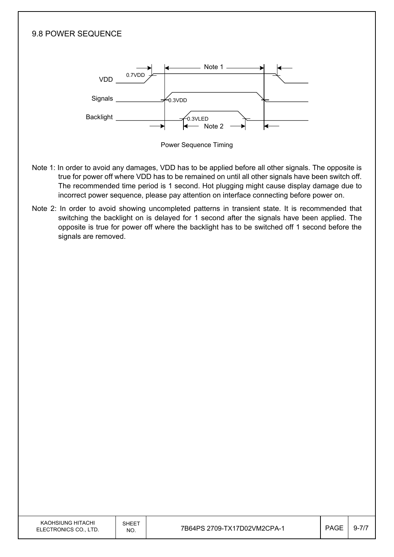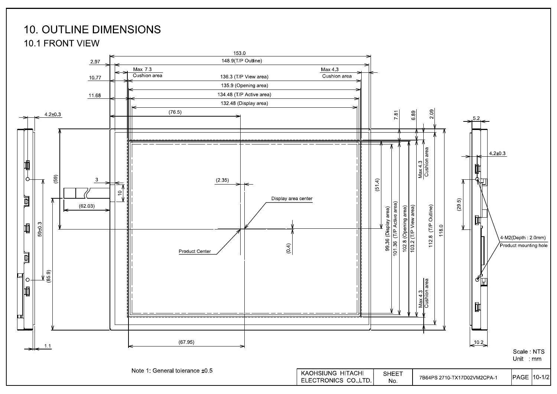# **10. OUTLINE DIMENSIONS**

**10.1 FRONT VIEW** 

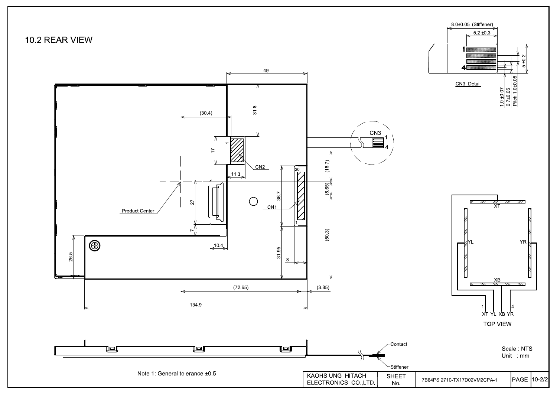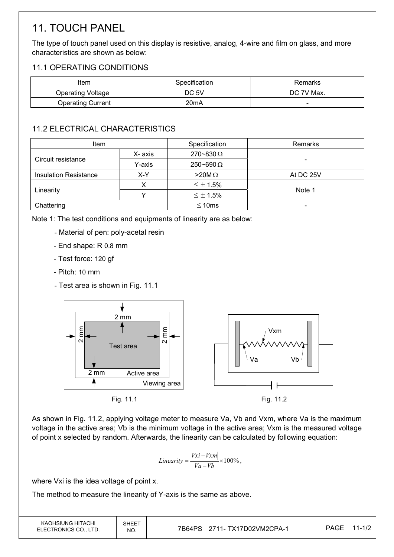# 11. TOUCH PANEL

The type of touch panel used on this display is resistive, analog, 4-wire and film on glass, and more characteristics are shown as below:

## 11.1 OPERATING CONDITIONS

| Item                     | Specification     | Remarks                  |
|--------------------------|-------------------|--------------------------|
| Operating Voltage        | DC 5V             | DC 7V Max.               |
| <b>Operating Current</b> | 20 <sub>m</sub> A | $\overline{\phantom{0}}$ |

## 11.2 ELECTRICAL CHARACTERISTICS

| <b>Item</b>                  |         | Specification      | Remarks   |
|------------------------------|---------|--------------------|-----------|
| Circuit resistance           | X- axis | $270 - 830 \Omega$ |           |
|                              | Y-axis  | $250 - 690 \Omega$ | -         |
| <b>Insulation Resistance</b> | X-Y     |                    | At DC 25V |
|                              |         | $\leq \pm 1.5\%$   |           |
| Linearity                    |         | $\leq \pm 1.5\%$   | Note 1    |
| Chattering                   |         | $\leq 10$ ms       | -         |

Note 1: The test conditions and equipments of linearity are as below:

- Material of pen: poly-acetal resin
- End shape: R 0.8 mm
- Test force: 120 gf
- Pitch: 10 mm
- Test area is shown in Fig. 11.1



As shown in Fig. 11.2, applying voltage meter to measure Va, Vb and Vxm, where Va is the maximum voltage in the active area; Vb is the minimum voltage in the active area; Vxm is the measured voltage of point x selected by random. Afterwards, the linearity can be calculated by following equation:

$$
Linearity = \frac{|Vxi - Vxm|}{Va - Vb} \times 100\%,
$$

where Vxi is the idea voltage of point x.

The method to measure the linearity of Y-axis is the same as above.

| KAOHSIUNG HITACHI<br>ELECTRONICS CO., LTD. | SHEET<br>NO. | 7B64PS<br>2711- TX17D02VM2CPA-1 | <b>PAGE</b> | $11 - 1/2$ |
|--------------------------------------------|--------------|---------------------------------|-------------|------------|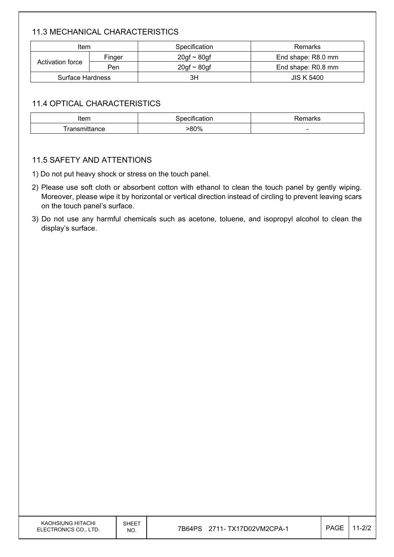## 11.3 MECHANICAL CHARACTERISTICS

| Item                              |  | Specification    | Remarks            |
|-----------------------------------|--|------------------|--------------------|
| Finger<br>Activation force<br>Pen |  | $20gf \sim 80gf$ | End shape: R8.0 mm |
|                                   |  | $20gf \sim 80gf$ | End shape: R0.8 mm |
| Surface Hardness                  |  | ЗH               | <b>JIS K 5400</b>  |

### 11.4 OPTICAL CHARACTERISTICS

| 5.000<br>ונסווו       | $- - - -$ | 1.711 <sub>h</sub>       |
|-----------------------|-----------|--------------------------|
| $- - - - - - - - - -$ | 80%       | $\overline{\phantom{a}}$ |

#### 11.5 SAFETY AND ATTENTIONS

1) Do not put heavy shock or stress on the touch panel.

- 2) Please use soft cloth or absorbent cotton with ethanol to clean the touch panel by gently wiping. Moreover, please wipe it by horizontal or vertical direction instead of circling to prevent leaving scars on the touch panel's surface.
- 3) Do not use any harmful chemicals such as acetone, toluene, and isopropyl alcohol to clean the display's surface.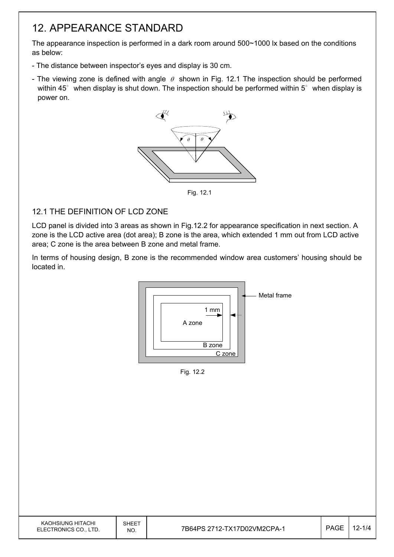# 12. APPEARANCE STANDARD

The appearance inspection is performed in a dark room around 500~1000 lx based on the conditions as below:

- The distance between inspector's eyes and display is 30 cm.
- The viewing zone is defined with angle  $\theta$  shown in Fig. 12.1 The inspection should be performed within 45 $\degree$  when display is shut down. The inspection should be performed within 5 $\degree$  when display is power on.



Fig. 12.1

## 12.1 THE DEFINITION OF LCD ZONE

LCD panel is divided into 3 areas as shown in Fig.12.2 for appearance specification in next section. A zone is the LCD active area (dot area); B zone is the area, which extended 1 mm out from LCD active area; C zone is the area between B zone and metal frame.

In terms of housing design, B zone is the recommended window area customers' housing should be located in.



Fig. 12.2

| KAOHSIUNG HITACHI<br>ELECTRONICS CO., LTD. | SHEET<br>NO. | 7B64PS 2712-TX17D02VM2CPA-1 | <b>PAGE</b> | $12 - 1/4$ |
|--------------------------------------------|--------------|-----------------------------|-------------|------------|
|                                            |              |                             |             |            |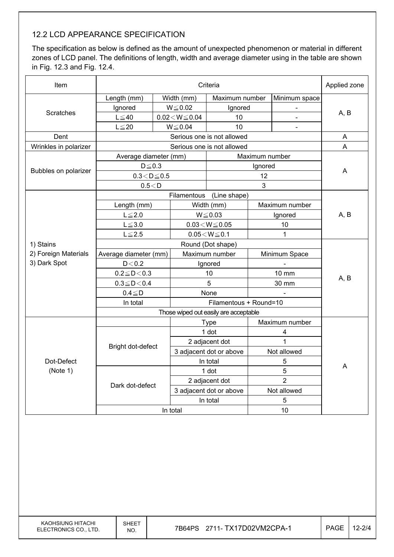## 12.2 LCD APPEARANCE SPECIFICATION

The specification as below is defined as the amount of unexpected phenomenon or material in different zones of LCD panel. The definitions of length, width and average diameter using in the table are shown in Fig. 12.3 and Fig. 12.4.

| Item                  | Criteria              |                                         |                            |                                       |                |                | Applied zone |  |
|-----------------------|-----------------------|-----------------------------------------|----------------------------|---------------------------------------|----------------|----------------|--------------|--|
|                       | Length (mm)           |                                         | Width (mm)                 | Maximum number                        |                | Minimum space  |              |  |
|                       | Ignored               |                                         | $W \le 0.02$               | Ignored                               |                |                |              |  |
| Scratches             | $L \leq 40$           |                                         | $0.02\!<\!W\!\!\leq\!0.04$ | 10                                    |                | ä,             | A, B         |  |
|                       | $L \leq 20$           |                                         | $W \le 0.04$               | 10                                    |                |                |              |  |
| Dent                  |                       |                                         |                            | Serious one is not allowed            |                |                | A            |  |
| Wrinkles in polarizer |                       |                                         |                            | Serious one is not allowed            |                |                | A            |  |
|                       | Average diameter (mm) |                                         |                            |                                       | Maximum number |                |              |  |
|                       | $D \le 0.3$           |                                         |                            |                                       | Ignored        |                |              |  |
| Bubbles on polarizer  | $0.3 < D \le 0.5$     |                                         |                            |                                       | 12             |                | A            |  |
|                       | 0.5 < D               |                                         |                            |                                       | 3              |                |              |  |
|                       |                       |                                         |                            | Filamentous (Line shape)              |                |                |              |  |
|                       | Length (mm)           |                                         |                            | Width (mm)                            |                | Maximum number |              |  |
|                       | $L \leq 2.0$          |                                         |                            | $W \le 0.03$                          |                | Ignored        | A, B         |  |
|                       | $L \le 3.0$           |                                         | $0.03\!<\!W\!\leq\!0.05$   |                                       | 10             |                |              |  |
|                       | $L \le 2.5$           |                                         |                            | $0.05\!<\!W\!\leq\!0.1$               |                | $\mathbf{1}$   |              |  |
| 1) Stains             |                       |                                         |                            | Round (Dot shape)                     |                |                |              |  |
| 2) Foreign Materials  |                       | Average diameter (mm)<br>Maximum number |                            |                                       | Minimum Space  |                |              |  |
| 3) Dark Spot          | D < 0.2               |                                         |                            | Ignored                               |                |                |              |  |
|                       | $0.2 \le D < 0.3$     |                                         |                            | 10                                    |                | <b>10 mm</b>   |              |  |
|                       | $0.3 \leq D < 0.4$    |                                         | 5                          |                                       | 30 mm          |                | A, B         |  |
|                       | $0.4 \leq D$          |                                         |                            | None                                  |                |                |              |  |
|                       | In total              |                                         |                            |                                       |                |                |              |  |
|                       |                       |                                         |                            | Those wiped out easily are acceptable |                |                |              |  |
|                       |                       |                                         |                            | <b>Type</b>                           |                | Maximum number |              |  |
|                       |                       |                                         |                            | 1 dot                                 |                | 4              |              |  |
|                       | Bright dot-defect     |                                         |                            | 2 adjacent dot                        |                | 1              |              |  |
|                       |                       |                                         |                            | 3 adjacent dot or above               |                | Not allowed    |              |  |
| Dot-Defect            |                       |                                         | In total                   |                                       | 5              |                | Α            |  |
| (Note 1)              |                       |                                         |                            | 1 dot                                 | 5              |                |              |  |
|                       | Dark dot-defect       |                                         |                            | 2 adjacent dot                        | $\overline{2}$ |                |              |  |
|                       |                       |                                         |                            | 3 adjacent dot or above               | Not allowed    |                |              |  |
|                       |                       |                                         |                            | In total                              |                | 5              |              |  |
|                       |                       | In total                                |                            |                                       | 10             |                |              |  |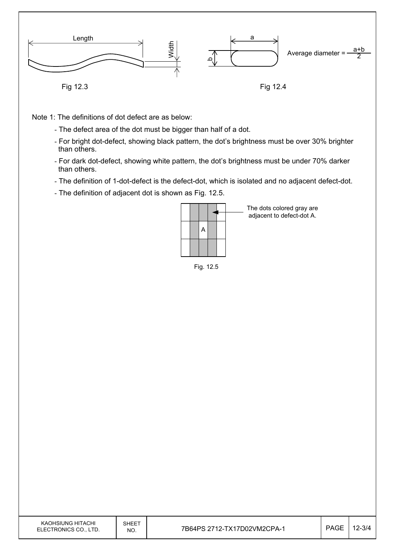

Note 1: The definitions of dot defect are as below:

- The defect area of the dot must be bigger than half of a dot.
- For bright dot-defect, showing black pattern, the dot's brightness must be over 30% brighter than others.
- For dark dot-defect, showing white pattern, the dot's brightness must be under 70% darker than others.
- The definition of 1-dot-defect is the defect-dot, which is isolated and no adjacent defect-dot.
- The definition of adjacent dot is shown as Fig. 12.5.



The dots colored gray are adjacent to defect-dot A.

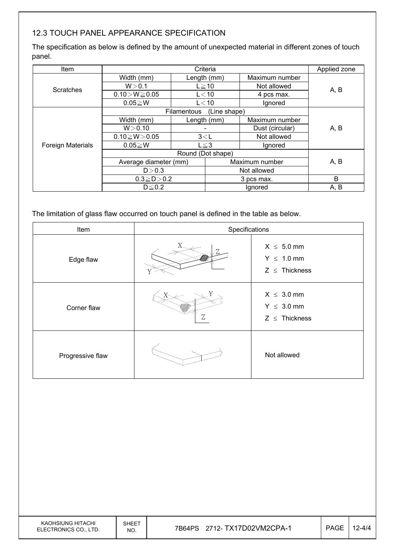## 12.3 TOUCH PANEL APPEARANCE SPECIFICATION

The specification as below is defined by the amount of unexpected material in different zones of touch panel.

| Item                     |                       |             | Criteria     |                 | Applied zone |  |
|--------------------------|-----------------------|-------------|--------------|-----------------|--------------|--|
|                          | Width (mm)            |             | Length (mm)  | Maximum number  |              |  |
| <b>Scratches</b>         | W > 0.1               |             | $L \geq 10$  | Not allowed     | A, B         |  |
|                          | $0.10 > W \ge 0.05$   |             | $L<$ 10      | 4 pcs max.      |              |  |
|                          | $0.05 \geq W$         |             | $L<$ 10      | Ignored         |              |  |
|                          |                       | Filamentous | (Line shape) |                 |              |  |
|                          | Width (mm)            |             | Length (mm)  | Maximum number  |              |  |
|                          | W > 0.10              |             |              | Dust (circular) | A, B         |  |
|                          | $0.10 \ge W > 0.05$   | 3< L        |              | Not allowed     |              |  |
| <b>Foreign Materials</b> | $0.05 \geq W$         |             | $L \leq 3$   | Ignored         |              |  |
|                          |                       |             |              |                 |              |  |
|                          | Average diameter (mm) |             |              | Maximum number  | A, B         |  |
|                          | D > 0.3               |             | Not allowed  |                 |              |  |
|                          | $0.3 \ge D > 0.2$     |             | 3 pcs max.   |                 | B            |  |
|                          | $D \leq 0.2$          |             | Ignored      |                 | A, B         |  |

The limitation of glass flaw occurred on touch panel is defined in the table as below.

| Item             | Specifications |                                                          |  |  |  |  |
|------------------|----------------|----------------------------------------------------------|--|--|--|--|
| Edge flaw        |                | $X \leq 5.0$ mm<br>$Y \leq 1.0$ mm<br>$Z \leq$ Thickness |  |  |  |  |
| Corner flaw      | Ζ              | $X \leq 3.0$ mm<br>$Y \leq 3.0$ mm<br>$Z \leq$ Thickness |  |  |  |  |
| Progressive flaw |                | Not allowed                                              |  |  |  |  |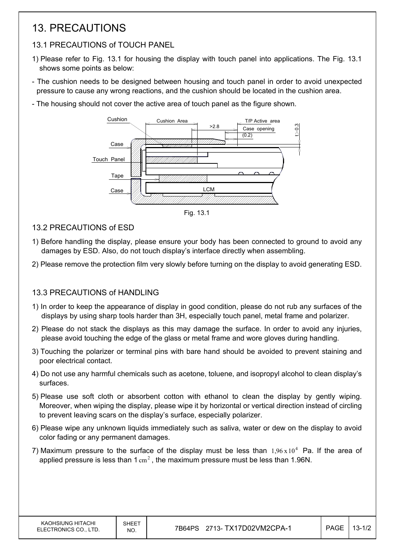# 13. PRECAUTIONS

## 13.1 PRECAUTIONS of TOUCH PANEL

- 1) Please refer to Fig. 13.1 for housing the display with touch panel into applications. The Fig. 13.1 shows some points as below:
- The cushion needs to be designed between housing and touch panel in order to avoid unexpected pressure to cause any wrong reactions, and the cushion should be located in the cushion area.
- The housing should not cover the active area of touch panel as the figure shown.



Fig. 13.1

- 13.2 PRECAUTIONS of ESD
- 1) Before handling the display, please ensure your body has been connected to ground to avoid any damages by ESD. Also, do not touch display's interface directly when assembling.
- 2) Please remove the protection film very slowly before turning on the display to avoid generating ESD.

### 13.3 PRECAUTIONS of HANDLING

- 1) In order to keep the appearance of display in good condition, please do not rub any surfaces of the displays by using sharp tools harder than 3H, especially touch panel, metal frame and polarizer.
- 2) Please do not stack the displays as this may damage the surface. In order to avoid any injuries, please avoid touching the edge of the glass or metal frame and wore gloves during handling.
- 3) Touching the polarizer or terminal pins with bare hand should be avoided to prevent staining and poor electrical contact.
- 4) Do not use any harmful chemicals such as acetone, toluene, and isopropyl alcohol to clean display's surfaces.
- 5) Please use soft cloth or absorbent cotton with ethanol to clean the display by gently wiping. Moreover, when wiping the display, please wipe it by horizontal or vertical direction instead of circling to prevent leaving scars on the display's surface, especially polarizer.
- 6) Please wipe any unknown liquids immediately such as saliva, water or dew on the display to avoid color fading or any permanent damages.
- 7) Maximum pressure to the surface of the display must be less than  $1.96 \times 10^4$  Pa. If the area of applied pressure is less than  $1 \text{ cm}^2$ , the maximum pressure must be less than 1.96N.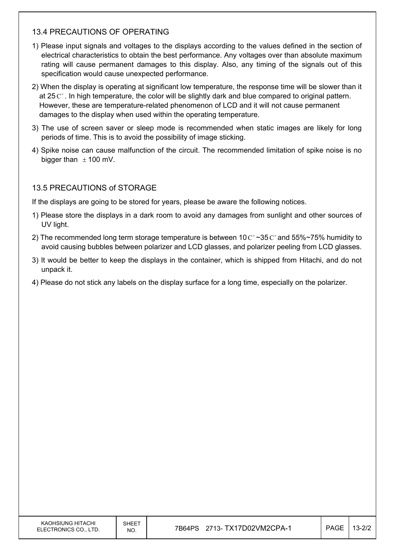### 13.4 PRECAUTIONS OF OPERATING

- 1) Please input signals and voltages to the displays according to the values defined in the section of electrical characteristics to obtain the best performance. Any voltages over than absolute maximum rating will cause permanent damages to this display. Also, any timing of the signals out of this specification would cause unexpected performance.
- 2) When the display is operating at significant low temperature, the response time will be slower than it at 25  $\mathrm{C}^{\circ}$ . In high temperature, the color will be slightly dark and blue compared to original pattern. However, these are temperature-related phenomenon of LCD and it will not cause permanent damages to the display when used within the operating temperature.
- 3) The use of screen saver or sleep mode is recommended when static images are likely for long periods of time. This is to avoid the possibility of image sticking.
- 4) Spike noise can cause malfunction of the circuit. The recommended limitation of spike noise is no bigger than  $\pm$  100 mV.

### 13.5 PRECAUTIONS of STORAGE

If the displays are going to be stored for years, please be aware the following notices.

- 1) Please store the displays in a dark room to avoid any damages from sunlight and other sources of UV light.
- 2) The recommended long term storage temperature is between 10  $\text{C}^{\circ}$  ~35  $\text{C}^{\circ}$  and 55%~75% humidity to avoid causing bubbles between polarizer and LCD glasses, and polarizer peeling from LCD glasses.
- 3) It would be better to keep the displays in the container, which is shipped from Hitachi, and do not unpack it.
- 4) Please do not stick any labels on the display surface for a long time, especially on the polarizer.